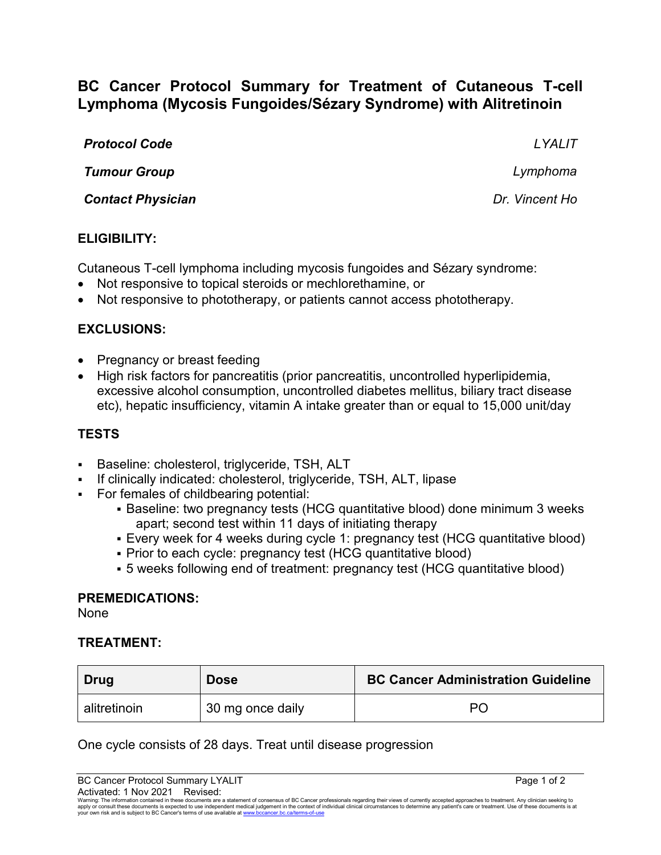# **BC Cancer Protocol Summary for Treatment of Cutaneous T-cell Lymphoma (Mycosis Fungoides/Sézary Syndrome) with Alitretinoin**

| <b>Protocol Code</b> | LYALIT   |
|----------------------|----------|
| <b>Tumour Group</b>  | Lymphoma |

*Contact Physician Dr. Vincent Ho*

## **ELIGIBILITY:**

Cutaneous T-cell lymphoma including mycosis fungoides and Sézary syndrome:

- Not responsive to topical steroids or mechlorethamine, or
- Not responsive to phototherapy, or patients cannot access phototherapy.

## **EXCLUSIONS:**

- Pregnancy or breast feeding
- High risk factors for pancreatitis (prior pancreatitis, uncontrolled hyperlipidemia, excessive alcohol consumption, uncontrolled diabetes mellitus, biliary tract disease etc), hepatic insufficiency, vitamin A intake greater than or equal to 15,000 unit/day

## **TESTS**

- Baseline: cholesterol, triglyceride, TSH, ALT
- If clinically indicated: cholesterol, triglyceride, TSH, ALT, lipase
- For females of childbearing potential:
	- Baseline: two pregnancy tests (HCG quantitative blood) done minimum 3 weeks apart; second test within 11 days of initiating therapy
	- Every week for 4 weeks during cycle 1: pregnancy test (HCG quantitative blood)
	- Prior to each cycle: pregnancy test (HCG quantitative blood)
	- 5 weeks following end of treatment: pregnancy test (HCG quantitative blood)

#### **PREMEDICATIONS:**

None

#### **TREATMENT:**

| Drug         | <b>Dose</b>      | <b>BC Cancer Administration Guideline</b> |
|--------------|------------------|-------------------------------------------|
| alitretinoin | 30 mg once daily | PΟ                                        |

One cycle consists of 28 days. Treat until disease progression